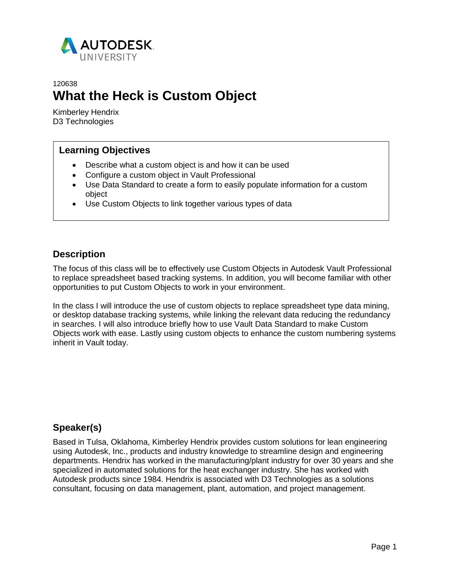

# 120638 **What the Heck is Custom Object**

Kimberley Hendrix D3 Technologies

## **Learning Objectives**

- Describe what a custom object is and how it can be used
- Configure a custom object in Vault Professional
- Use Data Standard to create a form to easily populate information for a custom object
- Use Custom Objects to link together various types of data

## **Description**

The focus of this class will be to effectively use Custom Objects in Autodesk Vault Professional to replace spreadsheet based tracking systems. In addition, you will become familiar with other opportunities to put Custom Objects to work in your environment.

In the class I will introduce the use of custom objects to replace spreadsheet type data mining, or desktop database tracking systems, while linking the relevant data reducing the redundancy in searches. I will also introduce briefly how to use Vault Data Standard to make Custom Objects work with ease. Lastly using custom objects to enhance the custom numbering systems inherit in Vault today.

# **Speaker(s)**

Based in Tulsa, Oklahoma, Kimberley Hendrix provides custom solutions for lean engineering using Autodesk, Inc., products and industry knowledge to streamline design and engineering departments. Hendrix has worked in the manufacturing/plant industry for over 30 years and she specialized in automated solutions for the heat exchanger industry. She has worked with Autodesk products since 1984. Hendrix is associated with D3 Technologies as a solutions consultant, focusing on data management, plant, automation, and project management.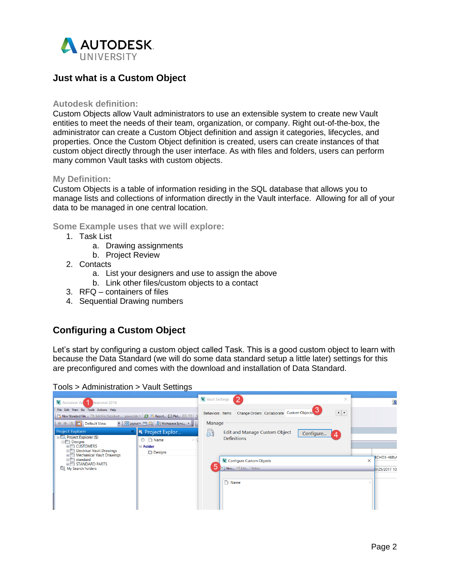

# **Just what is a Custom Object**

### **Autodesk definition:**

Custom Objects allow Vault administrators to use an extensible system to create new Vault entities to meet the needs of their team, organization, or company. Right out-of-the-box, the administrator can create a Custom Object definition and assign it categories, lifecycles, and properties. Once the Custom Object definition is created, users can create instances of that custom object directly through the user interface. As with files and folders, users can perform many common Vault tasks with custom objects.

#### **My Definition:**

Custom Objects is a table of information residing in the SQL database that allows you to manage lists and collections of information directly in the Vault interface. Allowing for all of your data to be managed in one central location.

### **Some Example uses that we will explore:**

- 1. Task List
	- a. Drawing assignments
	- b. Project Review
- 2. Contacts
	- a. List your designers and use to assign the above
	- b. Link other files/custom objects to a contact
- 3. RFQ containers of files
- 4. Sequential Drawing numbers

# **Configuring a Custom Object**

Let's start by configuring a custom object called Task. This is a good custom object to learn with because the Data Standard (we will do some data standard setup a little later) settings for this are preconfigured and comes with the download and installation of Data Standard.



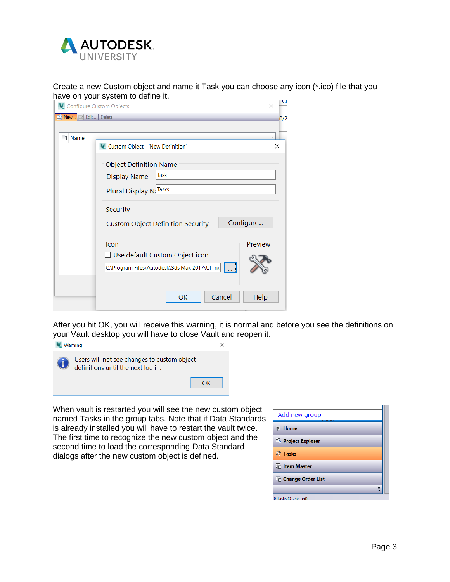

Create a new Custom object and name it Task you can choose any icon (\*.ico) file that you have on your system to define it.

| V. Configure Custom Objects |                                                                                                                                                                                                    | ECF |
|-----------------------------|----------------------------------------------------------------------------------------------------------------------------------------------------------------------------------------------------|-----|
| New 2 Edit Delete           |                                                                                                                                                                                                    | 0/2 |
| Name                        | V. Custom Object - 'New Definition'<br><b>Object Definition Name</b><br>Task<br><b>Display Name</b><br>Plural Display NdTasks<br>Security<br>Configure<br><b>Custom Object Definition Security</b> | ×   |
|                             | Preview<br>Icon<br>□ Use default Custom Object icon<br>C:\Program Files\Autodesk\3ds Max 2017\UI_In\   <br>OK<br>Cancel<br>Help                                                                    |     |

After you hit OK, you will receive this warning, it is normal and before you see the definitions on your Vault desktop you will have to close Vault and reopen it.



When vault is restarted you will see the new custom object named Tasks in the group tabs. Note that if Data Standards is already installed you will have to restart the vault twice. The first time to recognize the new custom object and the second time to load the corresponding Data Standard dialogs after the new custom object is defined.

| Add new group<br>,,,,,,,,, |                       |
|----------------------------|-----------------------|
| <b>I</b> Home              |                       |
| <b>Project Explorer</b>    |                       |
| <b>※ Tasks</b>             |                       |
| <b>Fig. Item Master</b>    |                       |
| <b>Change Order List</b>   |                       |
|                            | $\boldsymbol{\Sigma}$ |
| 0 Tasks (0 selected)       |                       |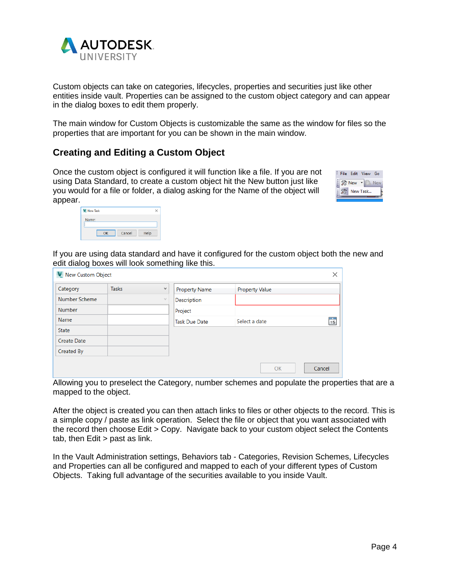

Custom objects can take on categories, lifecycles, properties and securities just like other entities inside vault. Properties can be assigned to the custom object category and can appear in the dialog boxes to edit them properly.

The main window for Custom Objects is customizable the same as the window for files so the properties that are important for you can be shown in the main window.

# **Creating and Editing a Custom Object**

Once the custom object is configured it will function like a file. If you are not using Data Standard, to create a custom object hit the New button just like you would for a file or folder, a dialog asking for the Name of the object will appear.

|  | File Edit View |          | Go |
|--|----------------|----------|----|
|  | New            |          |    |
|  |                | New Task |    |
|  |                |          |    |

| New Task |        | ↘    |
|----------|--------|------|
| Name:    |        |      |
| OK       | Cancel | Help |

If you are using data standard and have it configured for the custom object both the new and edit dialog boxes will look something like this.

| V. New Custom Object |              |              |                      |                       | ×              |
|----------------------|--------------|--------------|----------------------|-----------------------|----------------|
| Category             | <b>Tasks</b> | $\checkmark$ | <b>Property Name</b> | <b>Property Value</b> |                |
| Number Scheme        |              | $\vee$       | Description          |                       |                |
| Number               |              |              | Project              |                       |                |
| Name                 |              |              | <b>Task Due Date</b> | Select a date         | $\frac{1}{15}$ |
| <b>State</b>         |              |              |                      |                       |                |
| <b>Create Date</b>   |              |              |                      |                       |                |
| Created By           |              |              |                      |                       |                |
|                      |              |              |                      | OK                    | Cancel         |

Allowing you to preselect the Category, number schemes and populate the properties that are a mapped to the object.

After the object is created you can then attach links to files or other objects to the record. This is a simple copy / paste as link operation. Select the file or object that you want associated with the record then choose Edit > Copy. Navigate back to your custom object select the Contents tab, then Edit > past as link.

In the Vault Administration settings, Behaviors tab - Categories, Revision Schemes, Lifecycles and Properties can all be configured and mapped to each of your different types of Custom Objects. Taking full advantage of the securities available to you inside Vault.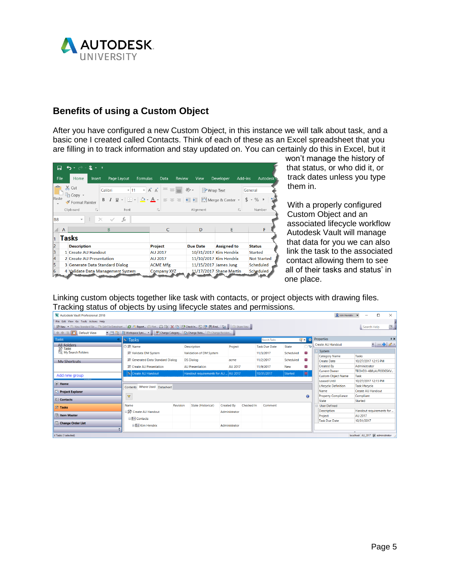

## **Benefits of using a Custom Object**

After you have configured a new Custom Object, in this instance we will talk about task, and a basic one I created called Contacts. Think of each of these as an Excel spreadsheet that you are filling in to track information and stay updated on. You can certainly do this in Excel, but it

| H          |   | $\overline{\phantom{0}}$          | $\frac{1}{2}$ |              |                 |                                   |            |                                                                               |               |                       |                    |                                                                                                                       |                           |                    |                 |
|------------|---|-----------------------------------|---------------|--------------|-----------------|-----------------------------------|------------|-------------------------------------------------------------------------------|---------------|-----------------------|--------------------|-----------------------------------------------------------------------------------------------------------------------|---------------------------|--------------------|-----------------|
| File       |   | Home                              | Insert        |              | Page Layout     | Formulas                          |            | Data                                                                          | <b>Review</b> | View                  |                    | Developer                                                                                                             | Add-ins                   |                    | <b>Autodesk</b> |
| ك<br>Paste |   | $\chi$ Cut<br><sup>■</sup> Copy ▼ |               | Calibri<br>B |                 | $-11$                             |            | $\overline{A} \overline{A} \equiv \equiv \equiv \gg$ $\overline{B}$ Wrap Text |               |                       |                    |                                                                                                                       |                           | General<br>$$ - %$ | $^{\circ}$      |
| ٠          |   | ◆ Format Painter<br>Clipboard     | $\sqrt{2}$    |              | Font            |                                   | $\sqrt{2}$ |                                                                               |               | Alignment             |                    | $I \cup \cdot \Box \cdot$ $\circ$ $\land \cdot$ $\land \cdot \equiv \equiv \equiv \Box$ $\Box$ Merge & Center $\cdot$ | $\overline{\mathbb{F}_2}$ |                    | Number          |
| <b>B8</b>  |   | $\overline{\phantom{a}}$          | ÷             | $\times$     | fx              |                                   |            |                                                                               |               |                       |                    |                                                                                                                       |                           |                    |                 |
|            | A |                                   |               | B            |                 |                                   |            | C                                                                             |               | D                     |                    | E                                                                                                                     |                           |                    | F               |
|            |   | <b>Tasks</b>                      |               |              |                 |                                   |            |                                                                               |               |                       |                    |                                                                                                                       |                           |                    |                 |
|            |   | <b>Description</b>                |               |              |                 |                                   | Project    |                                                                               |               | <b>Due Date</b>       |                    | <b>Assigned to</b>                                                                                                    |                           | <b>Status</b>      |                 |
| 3          |   | 1 Create AU Handout               |               |              |                 |                                   | AU 2017    |                                                                               |               |                       |                    | 10/31/2017 Kim Hendrix                                                                                                |                           |                    | <b>Started</b>  |
| 4          |   | 2 Create AU Presentation          |               |              |                 | 11/10/2017 Kim Hendrix<br>AU 2017 |            |                                                                               |               |                       | <b>Not Started</b> |                                                                                                                       |                           |                    |                 |
| 5          |   | 3 Generate Data Standard Dialog   |               |              | <b>ACME Mfg</b> |                                   |            |                                                                               |               | 11/15/2017 James Jung |                    | <b>Scheduled</b>                                                                                                      |                           |                    |                 |
|            |   | 4 Validate Data Management System |               |              |                 |                                   |            | <b>Company XYZ</b>                                                            |               |                       |                    | 11/17/2017 Shane Martin                                                                                               |                           |                    | Scheduled       |
|            |   |                                   |               |              |                 |                                   |            |                                                                               |               |                       |                    |                                                                                                                       |                           |                    |                 |

won't manage the history of that status, or who did it, or track dates unless you type them in.

With a properly configured Custom Object and an associated lifecycle workflow Autodesk Vault will manage that data for you we can also link the task to the associated contact allowing them to see all of their tasks and status' in one place.

Linking custom objects together like task with contacts, or project objects with drawing files. Tracking status of objects by using lifecycle states and permissions.

| $\mathbf{\Omega}$ kim Hendrix<br>П<br>Autodesk Vault Professional 2018<br>$\times$                                                             |                                  |          |                                      |                   |                   |                      |                          |           |                                                  |                                 |
|------------------------------------------------------------------------------------------------------------------------------------------------|----------------------------------|----------|--------------------------------------|-------------------|-------------------|----------------------|--------------------------|-----------|--------------------------------------------------|---------------------------------|
| File Edit View Go Tools Actions Help                                                                                                           |                                  |          |                                      |                   |                   |                      |                          |           |                                                  |                                 |
| ※ New ・ D. New Standard File  □ Edit File Datasheet    <i>日</i> ● Report ○ Plot ○ 日   ※ 아 B Check In   5 6 帝 (Ap Find   清 , 。 ② Share View , , |                                  |          |                                      |                   |                   |                      |                          |           |                                                  | $\boxed{2}$<br>Search Help      |
| $\frac{1}{2}$ $\Leftarrow$ $\Rightarrow$ $\boxed{1}$ $\boxed{1}$ Default View                                                                  |                                  |          |                                      |                   |                   |                      |                          |           |                                                  |                                 |
| <b>Tasks</b><br>$\alpha$                                                                                                                       | $\frac{1}{2}$ Tasks              |          |                                      |                   |                   | Search Tasks         |                          | $Q^* = 0$ | Properties                                       | 9 ×                             |
| <b>All Folders</b>                                                                                                                             | <b>○ % Name</b>                  |          | <b>Description</b>                   | Project           |                   | <b>Task Due Date</b> | State                    |           | <b>Create AU Handout</b>                         | $- - 2$                         |
| <b>SE Tasks</b><br>My Search Folders                                                                                                           | % Validate DM System             |          | Validation of DM System              |                   |                   | 11/3/2017            | Scheduled                | Œ         | System                                           |                                 |
|                                                                                                                                                | % Generated Data Standard Dialog |          | <b>DS Dialog</b>                     |                   |                   | 11/2/2017            | Scheduled                | œ         | <b>Category Name</b>                             | Tasks                           |
| <b>My Shortcuts</b>                                                                                                                            |                                  |          |                                      | acme              |                   |                      |                          |           | <b>Create Date</b>                               | 10/27/2017 12:15 PM             |
|                                                                                                                                                | <b>然 Create AU Presentation</b>  |          | <b>AU Presentation</b>               | AU 2017           |                   | 11/9/2017            | <b>New</b>               | o         | <b>Created By</b>                                | Administrator                   |
| Add new group                                                                                                                                  | X Create AU Handout              |          | Handout requirements for AU  AU 2017 |                   |                   | 10/31/2017           | Started                  |           | <b>Current Owner</b>                             | TECHD3-488\AUTODESKV            |
|                                                                                                                                                |                                  |          |                                      |                   |                   |                      |                          |           | <b>Custom Object Name</b><br><b>Leased Until</b> | Task<br>10/27/2017 12:15 PM     |
| <b>E</b> Home                                                                                                                                  |                                  |          |                                      |                   |                   |                      |                          |           | <b>Lifecycle Definition</b>                      | <b>Task lifecycle</b>           |
|                                                                                                                                                | Contents Where Used Datasheet    |          |                                      |                   |                   | Name                 | <b>Create AU Handout</b> |           |                                                  |                                 |
| <b>Project Explorer</b>                                                                                                                        | $\overline{\mathbf{Y}}$          |          |                                      |                   |                   |                      |                          | $\bullet$ | <b>Property Compliance</b>                       | Compliant                       |
| <b>E=I</b> Contacts                                                                                                                            |                                  |          |                                      |                   |                   |                      |                          |           | <b>State</b>                                     | Started                         |
| <b>SS</b> Tasks                                                                                                                                | Name                             | Revision | State (Historical)                   | <b>Created By</b> | <b>Checked In</b> | Comment              |                          |           | User Defined                                     |                                 |
|                                                                                                                                                | ∃ % Create AU Handout            |          |                                      | Administrator     |                   |                      |                          |           | <b>Description</b>                               | Handout requirements for        |
| <b>En Item Master</b>                                                                                                                          | <b>E</b> Contacts                |          |                                      |                   |                   |                      |                          |           | Project                                          | <b>AU 2017</b>                  |
| <b>Change Order List</b>                                                                                                                       |                                  |          |                                      |                   |                   |                      |                          |           | <b>Task Due Date</b>                             | 10/31/2017                      |
| $\mathbf{v}$                                                                                                                                   | E <b>E</b> Kim Hendrix           |          |                                      | Administrator     |                   |                      |                          |           |                                                  |                                 |
| ÷                                                                                                                                              |                                  |          |                                      |                   |                   |                      |                          |           |                                                  |                                 |
| 4 Tasks (1 selected)                                                                                                                           |                                  |          |                                      |                   |                   |                      |                          |           |                                                  | localhost AU_2017 administrator |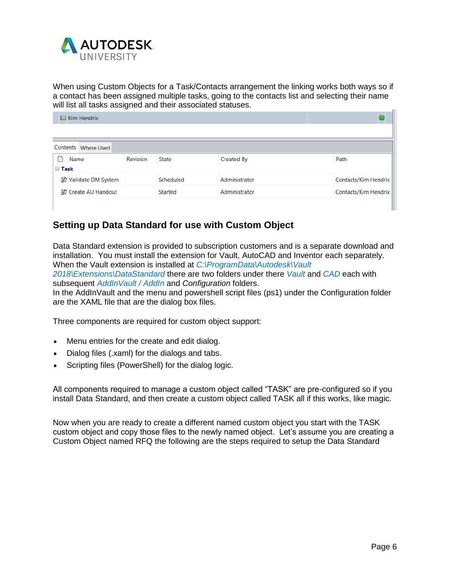

When using Custom Objects for a Task/Contacts arrangement the linking works both ways so if a contact has been assigned multiple tasks, going to the contacts list and selecting their name will list all tasks assigned and their associated statuses.

|                  | $E$ Kim Hendrix      |          |              |               |                      |  |
|------------------|----------------------|----------|--------------|---------------|----------------------|--|
|                  |                      |          |              |               |                      |  |
|                  | Contents Where Used  |          |              |               |                      |  |
|                  | Name                 | Revision | <b>State</b> | Created By    | Path                 |  |
| $\boxminus$ Task |                      |          |              |               |                      |  |
|                  | % Validate DM System |          | Scheduled    | Administrator | Contacts/Kim Hendrix |  |
|                  | % Create AU Handout  |          | Started      | Administrator | Contacts/Kim Hendrix |  |
|                  |                      |          |              |               |                      |  |

# **Setting up Data Standard for use with Custom Object**

Data Standard extension is provided to subscription customers and is a separate download and installation. You must install the extension for Vault, AutoCAD and Inventor each separately. When the Vault extension is installed at *C:\ProgramData\Autodesk\Vault* 

*2018\Extensions\DataStandard* there are two folders under there *Vault* and *CAD* each with subsequent *AddInVault / AddIn* and *Configuration* folders.

In the AddInVault and the menu and powershell script files (ps1) under the Configuration folder are the XAML file that are the dialog box files.

Three components are required for custom object support:

- Menu entries for the create and edit dialog.
- Dialog files (.xaml) for the dialogs and tabs.
- Scripting files (PowerShell) for the dialog logic.

All components required to manage a custom object called "TASK" are pre-configured so if you install Data Standard, and then create a custom object called TASK all if this works, like magic.

Now when you are ready to create a different named custom object you start with the TASK custom object and copy those files to the newly named object. Let's assume you are creating a Custom Object named RFQ the following are the steps required to setup the Data Standard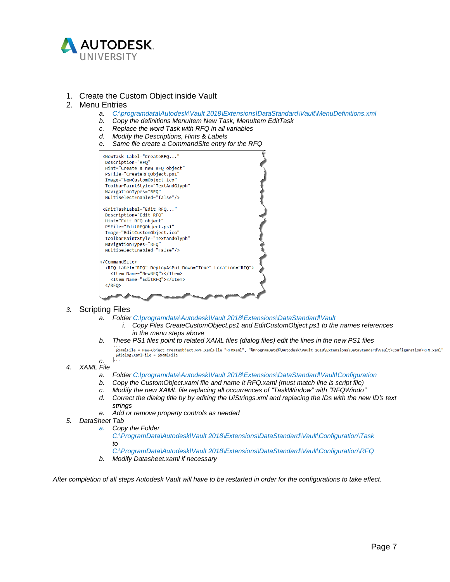

#### 1. Create the Custom Object inside Vault

#### 2. Menu Entries

- *a. C:\programdata\Autodesk\Vault 2018\Extensions\DataStandard\Vault\MenuDefinitions.xml*
- *b. Copy the definitions MenuItem New Task, MenuItem EditTask*
- *c. Replace the word Task with RFQ in all variables*
- *d. Modify the Descriptions, Hints & Labels*
- *e. Same file create a CommandSite entry for the RFQ*



#### *3.* Scripting Files

- *a. Folder C:\programdata\Autodesk\Vault 2018\Extensions\DataStandard\Vault*
	- *i. Copy Files CreateCustomObject.ps1 and EditCustomObject.ps1 to the names references in the menu steps above*
- *b. These PS1 files point to related XAML files (dialog files) edit the lines in the new PS1 files*

.<br>\$xamlFile = New-Object CreateObject.WPF.XamlFile "RFOXaml", "%ProgramData%\Autodesk\Vault 2018\Extensions\DataStandard\Vault\Configuration\RFO.xaml" \$dialog.XamlFile = \$xamlFile  $\mathbf{L}$ .

- *c. 4. XAML File*
	- *a. Folder C:\programdata\Autodesk\Vault 2018\Extensions\DataStandard\Vault\Configuration*
	- *b. Copy the CustomObject.xaml file and name it RFQ.xaml (must match line is script file)*
	- *c. Modify the new XAML file replacing all occurrences of "TaskWindow" with "RFQWindo"*
	- d. Correct the dialog title by by editing the UiStrings.xml and replacing the IDs with the new ID's text *strings*
	- *e. Add or remove property controls as needed*
- *5. DataSheet Tab*
	- *a. Copy the Folder*

*C:\ProgramData\Autodesk\Vault 2018\Extensions\DataStandard\Vault\Configuration\Task to*

- *C:\ProgramData\Autodesk\Vault 2018\Extensions\DataStandard\Vault\Configuration\RFQ*
- *b. Modify Datasheet.xaml if necessary*

After completion of all steps Autodesk Vault will have to be restarted in order for the configurations to take effect.